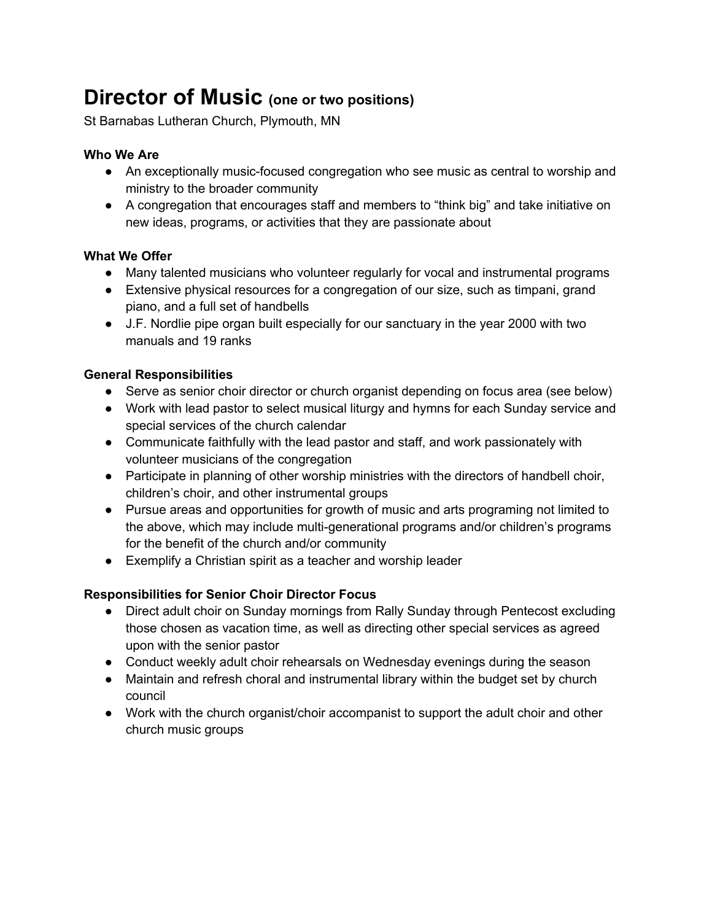# **Director of Music (one or two positions)**

St Barnabas Lutheran Church, Plymouth, MN

## **Who We Are**

- An exceptionally music-focused congregation who see music as central to worship and ministry to the broader community
- A congregation that encourages staff and members to "think big" and take initiative on new ideas, programs, or activities that they are passionate about

## **What We Offer**

- Many talented musicians who volunteer regularly for vocal and instrumental programs
- Extensive physical resources for a congregation of our size, such as timpani, grand piano, and a full set of handbells
- J.F. Nordlie pipe organ built especially for our sanctuary in the year 2000 with two manuals and 19 ranks

## **General Responsibilities**

- Serve as senior choir director or church organist depending on focus area (see below)
- Work with lead pastor to select musical liturgy and hymns for each Sunday service and special services of the church calendar
- Communicate faithfully with the lead pastor and staff, and work passionately with volunteer musicians of the congregation
- Participate in planning of other worship ministries with the directors of handbell choir, children's choir, and other instrumental groups
- Pursue areas and opportunities for growth of music and arts programing not limited to the above, which may include multi-generational programs and/or children's programs for the benefit of the church and/or community
- Exemplify a Christian spirit as a teacher and worship leader

# **Responsibilities for Senior Choir Director Focus**

- Direct adult choir on Sunday mornings from Rally Sunday through Pentecost excluding those chosen as vacation time, as well as directing other special services as agreed upon with the senior pastor
- Conduct weekly adult choir rehearsals on Wednesday evenings during the season
- Maintain and refresh choral and instrumental library within the budget set by church council
- Work with the church organist/choir accompanist to support the adult choir and other church music groups